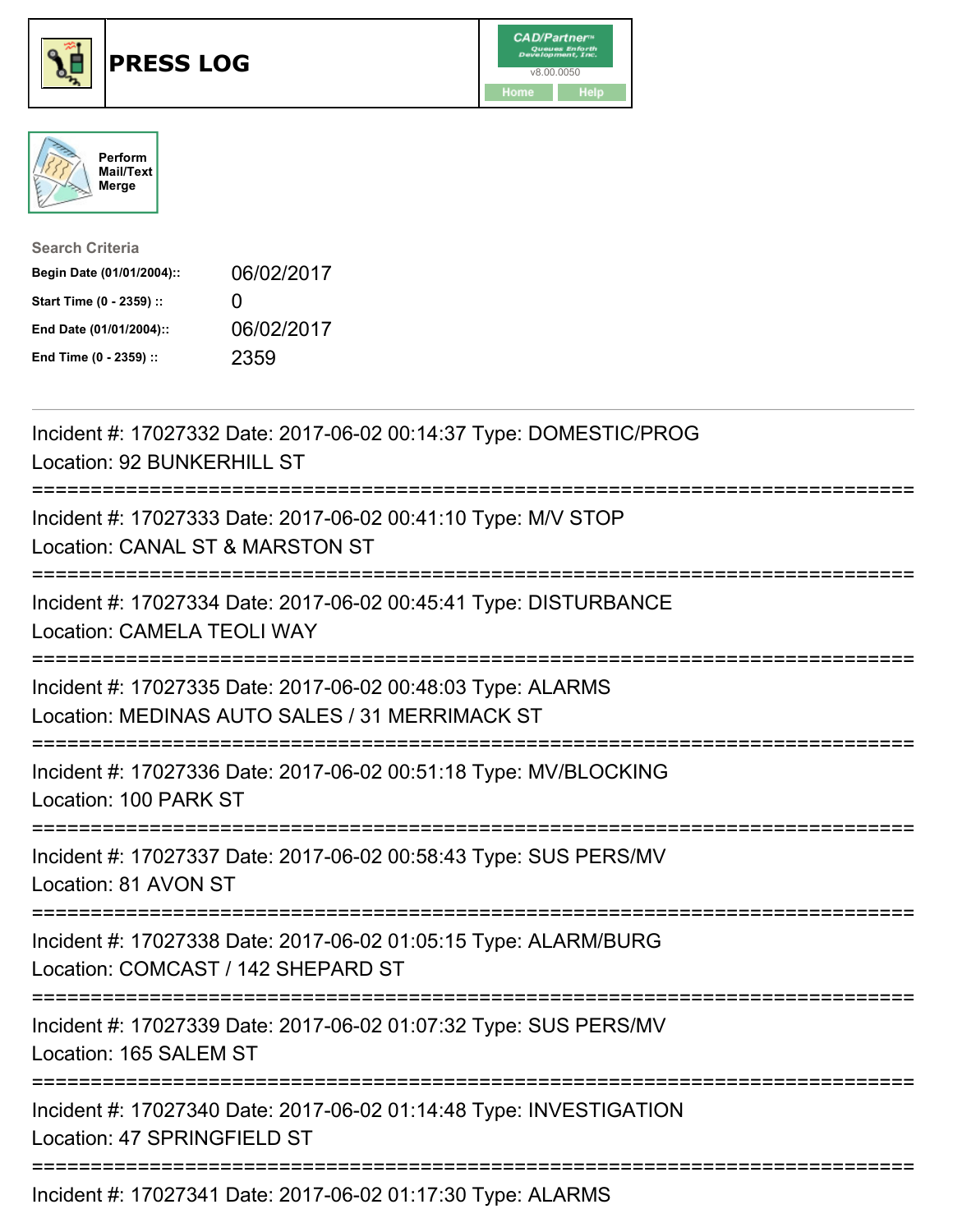





| <b>Search Criteria</b>    |                   |
|---------------------------|-------------------|
| Begin Date (01/01/2004):: | 06/02/2017        |
| Start Time (0 - 2359) ::  | $\mathbf{\Omega}$ |
| End Date (01/01/2004)::   | 06/02/2017        |
| End Time (0 - 2359) ::    | 2359              |

| Incident #: 17027332 Date: 2017-06-02 00:14:37 Type: DOMESTIC/PROG<br>Location: 92 BUNKERHILL ST                                                          |
|-----------------------------------------------------------------------------------------------------------------------------------------------------------|
| Incident #: 17027333 Date: 2017-06-02 00:41:10 Type: M/V STOP<br>Location: CANAL ST & MARSTON ST                                                          |
| Incident #: 17027334 Date: 2017-06-02 00:45:41 Type: DISTURBANCE<br><b>Location: CAMELA TEOLI WAY</b>                                                     |
| Incident #: 17027335 Date: 2017-06-02 00:48:03 Type: ALARMS<br>Location: MEDINAS AUTO SALES / 31 MERRIMACK ST                                             |
| Incident #: 17027336 Date: 2017-06-02 00:51:18 Type: MV/BLOCKING<br>Location: 100 PARK ST                                                                 |
| Incident #: 17027337 Date: 2017-06-02 00:58:43 Type: SUS PERS/MV<br>Location: 81 AVON ST<br>-------------------                                           |
| Incident #: 17027338 Date: 2017-06-02 01:05:15 Type: ALARM/BURG<br>Location: COMCAST / 142 SHEPARD ST<br>==============================<br>-------------- |
| Incident #: 17027339 Date: 2017-06-02 01:07:32 Type: SUS PERS/MV<br>Location: 165 SALEM ST<br>====================                                        |
| Incident #: 17027340 Date: 2017-06-02 01:14:48 Type: INVESTIGATION<br>Location: 47 SPRINGFIELD ST                                                         |
| Incident #: 17027341 Date: 2017-06-02 01:17:30 Type: ALARMS                                                                                               |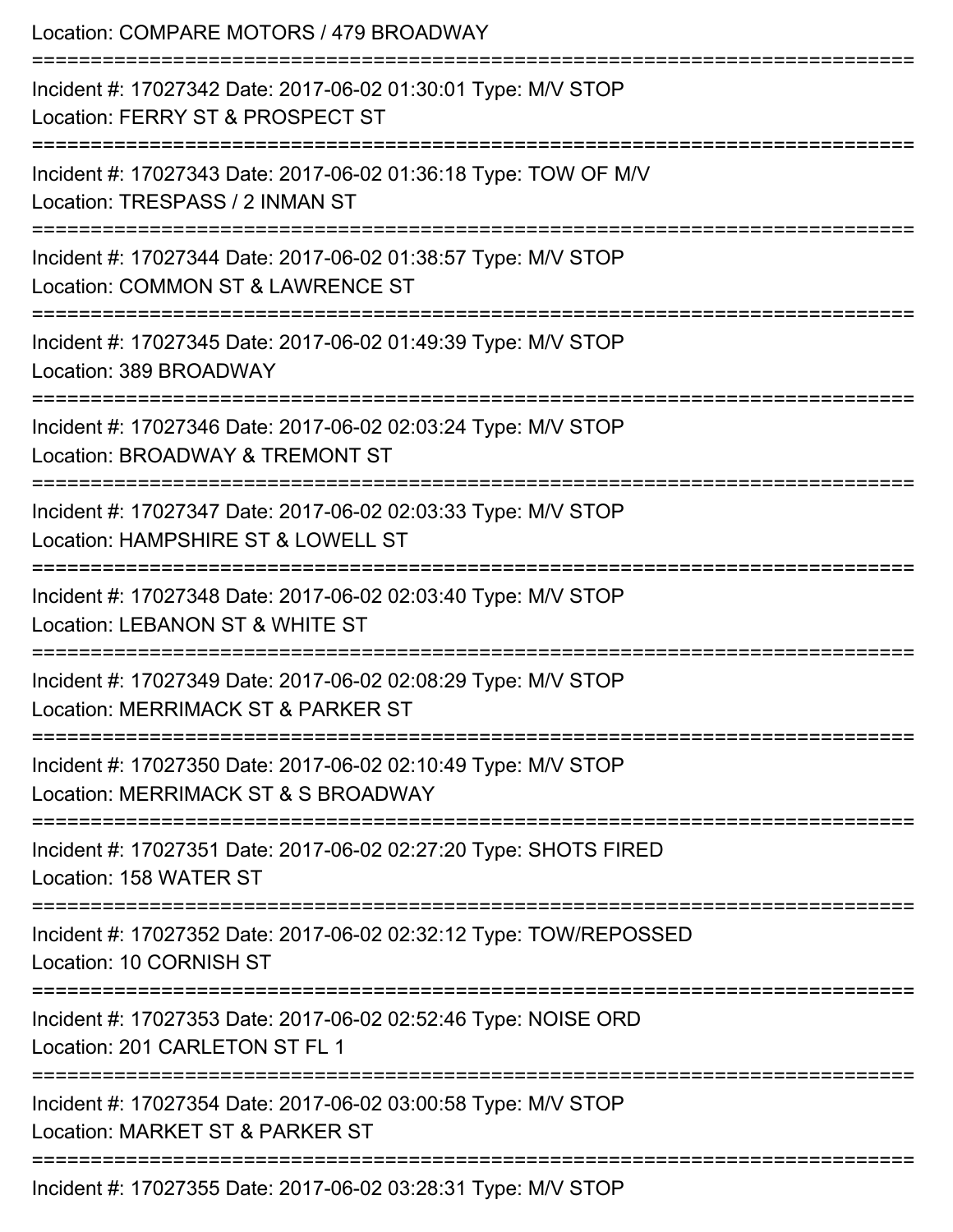| Location: COMPARE MOTORS / 479 BROADWAY                                                                                                  |
|------------------------------------------------------------------------------------------------------------------------------------------|
| Incident #: 17027342 Date: 2017-06-02 01:30:01 Type: M/V STOP<br>Location: FERRY ST & PROSPECT ST                                        |
| ;====================<br>Incident #: 17027343 Date: 2017-06-02 01:36:18 Type: TOW OF M/V<br>Location: TRESPASS / 2 INMAN ST              |
| Incident #: 17027344 Date: 2017-06-02 01:38:57 Type: M/V STOP<br>Location: COMMON ST & LAWRENCE ST<br>================================== |
| Incident #: 17027345 Date: 2017-06-02 01:49:39 Type: M/V STOP<br>Location: 389 BROADWAY                                                  |
| Incident #: 17027346 Date: 2017-06-02 02:03:24 Type: M/V STOP<br>Location: BROADWAY & TREMONT ST                                         |
| Incident #: 17027347 Date: 2017-06-02 02:03:33 Type: M/V STOP<br>Location: HAMPSHIRE ST & LOWELL ST                                      |
| Incident #: 17027348 Date: 2017-06-02 02:03:40 Type: M/V STOP<br>Location: LEBANON ST & WHITE ST                                         |
| Incident #: 17027349 Date: 2017-06-02 02:08:29 Type: M/V STOP<br>Location: MERRIMACK ST & PARKER ST                                      |
| Incident #: 17027350 Date: 2017-06-02 02:10:49 Type: M/V STOP<br>Location: MERRIMACK ST & S BROADWAY                                     |
| Incident #: 17027351 Date: 2017-06-02 02:27:20 Type: SHOTS FIRED<br>Location: 158 WATER ST                                               |
| --------------------<br>Incident #: 17027352 Date: 2017-06-02 02:32:12 Type: TOW/REPOSSED<br>Location: 10 CORNISH ST                     |
| =================<br>Incident #: 17027353 Date: 2017-06-02 02:52:46 Type: NOISE ORD<br>Location: 201 CARLETON ST FL 1                    |
| Incident #: 17027354 Date: 2017-06-02 03:00:58 Type: M/V STOP<br>Location: MARKET ST & PARKER ST                                         |
| Incident #: 17027355 Date: 2017-06-02 03:28:31 Type: M/V STOP                                                                            |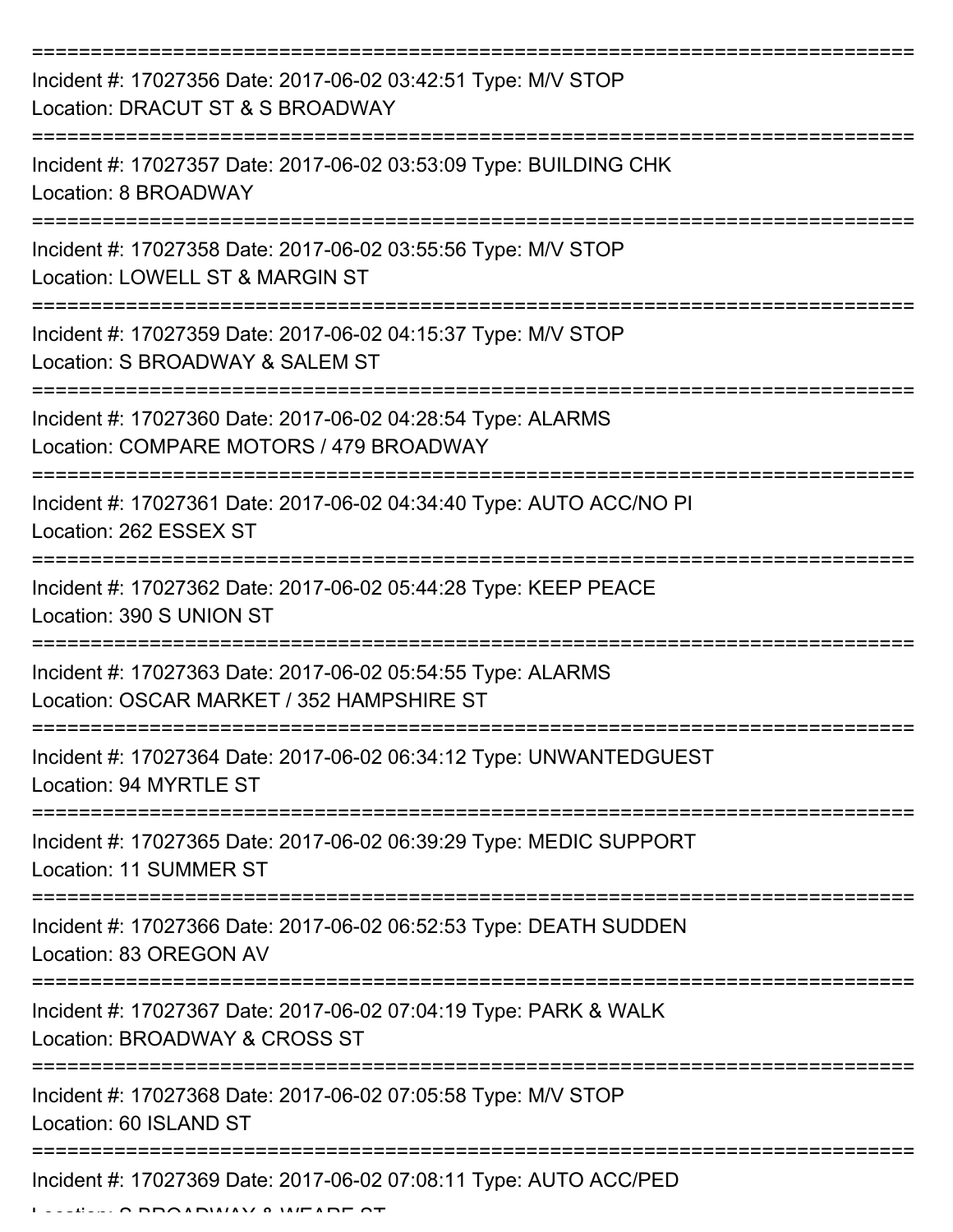| Incident #: 17027356 Date: 2017-06-02 03:42:51 Type: M/V STOP<br>Location: DRACUT ST & S BROADWAY        |
|----------------------------------------------------------------------------------------------------------|
| Incident #: 17027357 Date: 2017-06-02 03:53:09 Type: BUILDING CHK<br>Location: 8 BROADWAY                |
| Incident #: 17027358 Date: 2017-06-02 03:55:56 Type: M/V STOP<br>Location: LOWELL ST & MARGIN ST         |
| Incident #: 17027359 Date: 2017-06-02 04:15:37 Type: M/V STOP<br>Location: S BROADWAY & SALEM ST         |
| Incident #: 17027360 Date: 2017-06-02 04:28:54 Type: ALARMS<br>Location: COMPARE MOTORS / 479 BROADWAY   |
| Incident #: 17027361 Date: 2017-06-02 04:34:40 Type: AUTO ACC/NO PI<br>Location: 262 ESSEX ST            |
| Incident #: 17027362 Date: 2017-06-02 05:44:28 Type: KEEP PEACE<br>Location: 390 S UNION ST              |
| Incident #: 17027363 Date: 2017-06-02 05:54:55 Type: ALARMS<br>Location: OSCAR MARKET / 352 HAMPSHIRE ST |
| Incident #: 17027364 Date: 2017-06-02 06:34:12 Type: UNWANTEDGUEST<br>Location: 94 MYRTLE ST             |
| Incident #: 17027365 Date: 2017-06-02 06:39:29 Type: MEDIC SUPPORT<br>Location: 11 SUMMER ST             |
| Incident #: 17027366 Date: 2017-06-02 06:52:53 Type: DEATH SUDDEN<br>Location: 83 OREGON AV              |
| Incident #: 17027367 Date: 2017-06-02 07:04:19 Type: PARK & WALK<br>Location: BROADWAY & CROSS ST        |
| Incident #: 17027368 Date: 2017-06-02 07:05:58 Type: M/V STOP<br>Location: 60 ISLAND ST                  |
| Incident #: 17027369 Date: 2017-06-02 07:08:11 Type: AUTO ACC/PED                                        |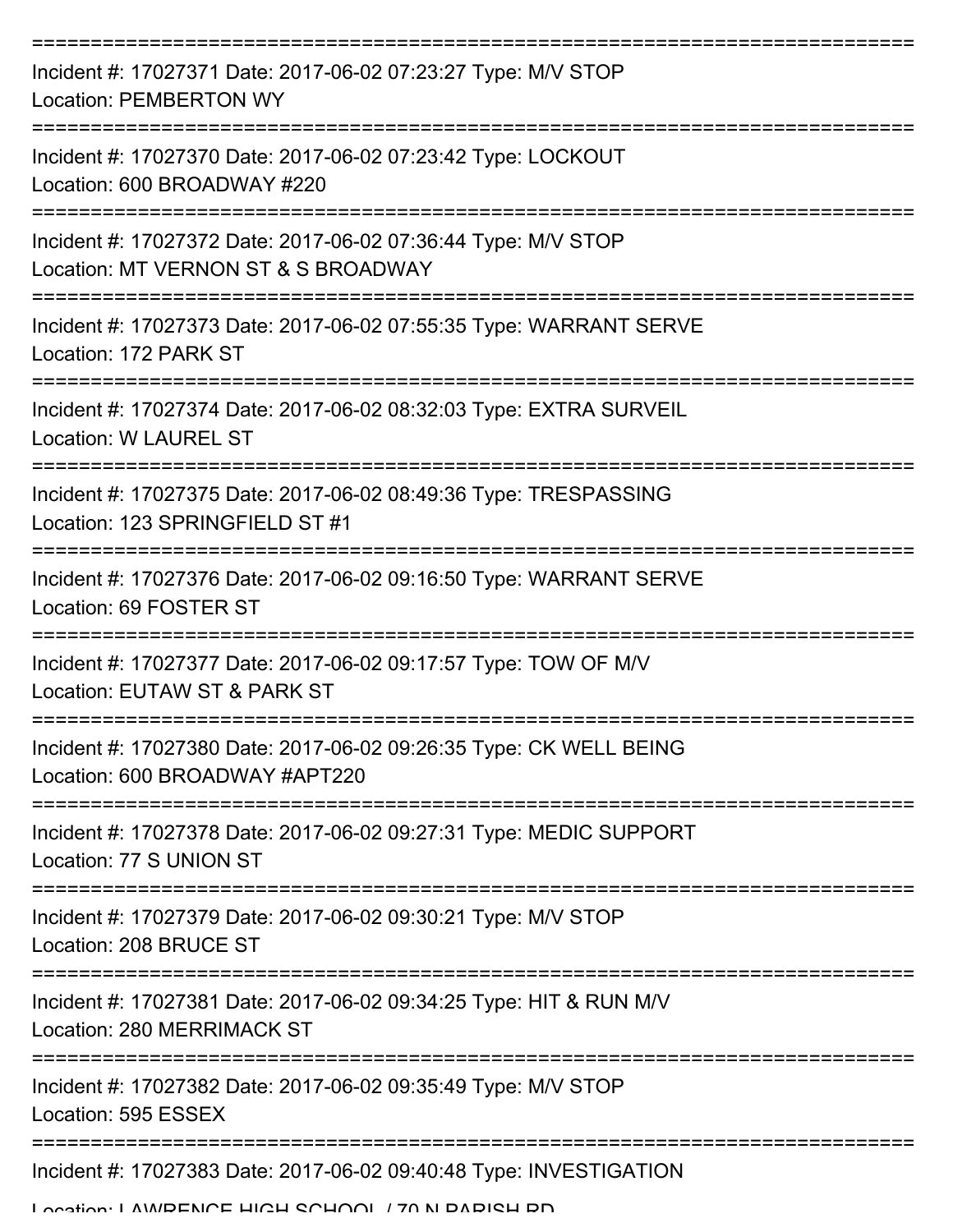| Incident #: 17027371 Date: 2017-06-02 07:23:27 Type: M/V STOP<br><b>Location: PEMBERTON WY</b>                                |
|-------------------------------------------------------------------------------------------------------------------------------|
| Incident #: 17027370 Date: 2017-06-02 07:23:42 Type: LOCKOUT<br>Location: 600 BROADWAY #220                                   |
| Incident #: 17027372 Date: 2017-06-02 07:36:44 Type: M/V STOP<br>Location: MT VERNON ST & S BROADWAY                          |
| Incident #: 17027373 Date: 2017-06-02 07:55:35 Type: WARRANT SERVE<br>Location: 172 PARK ST                                   |
| Incident #: 17027374 Date: 2017-06-02 08:32:03 Type: EXTRA SURVEIL<br><b>Location: W LAUREL ST</b>                            |
| Incident #: 17027375 Date: 2017-06-02 08:49:36 Type: TRESPASSING<br>Location: 123 SPRINGFIELD ST #1                           |
| Incident #: 17027376 Date: 2017-06-02 09:16:50 Type: WARRANT SERVE<br>Location: 69 FOSTER ST                                  |
| Incident #: 17027377 Date: 2017-06-02 09:17:57 Type: TOW OF M/V<br>Location: EUTAW ST & PARK ST                               |
| Incident #: 17027380 Date: 2017-06-02 09:26:35 Type: CK WELL BEING<br>Location: 600 BROADWAY #APT220                          |
| Incident #: 17027378 Date: 2017-06-02 09:27:31 Type: MEDIC SUPPORT<br>Location: 77 S UNION ST                                 |
| Incident #: 17027379 Date: 2017-06-02 09:30:21 Type: M/V STOP<br>Location: 208 BRUCE ST                                       |
| =========================<br>Incident #: 17027381 Date: 2017-06-02 09:34:25 Type: HIT & RUN M/V<br>Location: 280 MERRIMACK ST |
| Incident #: 17027382 Date: 2017-06-02 09:35:49 Type: M/V STOP<br>Location: 595 ESSEX                                          |
| Incident #: 17027383 Date: 2017-06-02 09:40:48 Type: INVESTIGATION                                                            |

Location: LAWDENCE HIGH SCHOOL / 70 N DADISH DD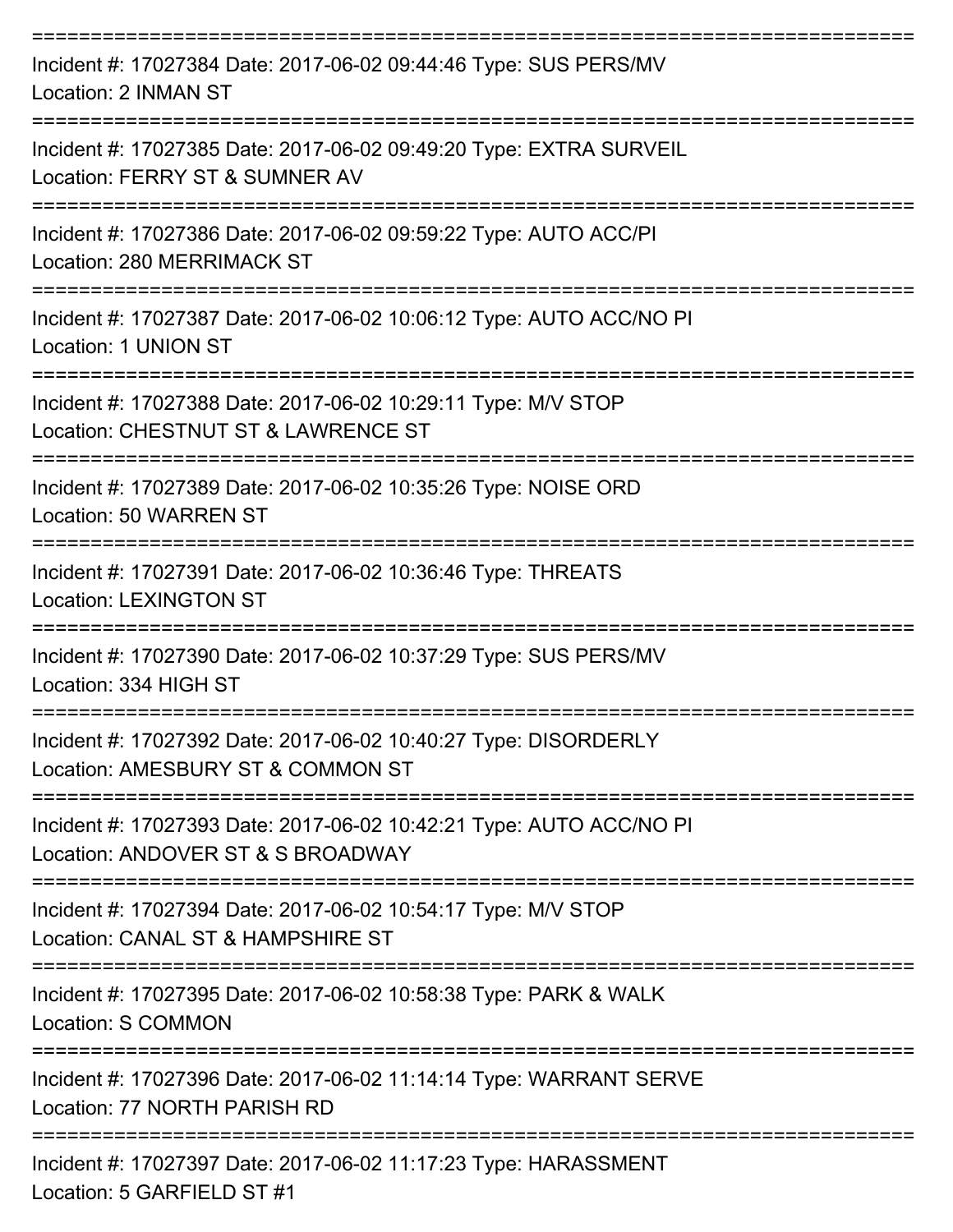| Incident #: 17027384 Date: 2017-06-02 09:44:46 Type: SUS PERS/MV<br>Location: 2 INMAN ST                                       |
|--------------------------------------------------------------------------------------------------------------------------------|
| Incident #: 17027385 Date: 2017-06-02 09:49:20 Type: EXTRA SURVEIL<br>Location: FERRY ST & SUMNER AV                           |
| Incident #: 17027386 Date: 2017-06-02 09:59:22 Type: AUTO ACC/PI<br>Location: 280 MERRIMACK ST                                 |
| Incident #: 17027387 Date: 2017-06-02 10:06:12 Type: AUTO ACC/NO PI<br>Location: 1 UNION ST                                    |
| ======================<br>Incident #: 17027388 Date: 2017-06-02 10:29:11 Type: M/V STOP<br>Location: CHESTNUT ST & LAWRENCE ST |
| Incident #: 17027389 Date: 2017-06-02 10:35:26 Type: NOISE ORD<br>Location: 50 WARREN ST                                       |
| Incident #: 17027391 Date: 2017-06-02 10:36:46 Type: THREATS<br><b>Location: LEXINGTON ST</b>                                  |
| Incident #: 17027390 Date: 2017-06-02 10:37:29 Type: SUS PERS/MV<br>Location: 334 HIGH ST                                      |
| Incident #: 17027392 Date: 2017-06-02 10:40:27 Type: DISORDERLY<br>Location: AMESBURY ST & COMMON ST                           |
| Incident #: 17027393 Date: 2017-06-02 10:42:21 Type: AUTO ACC/NO PI<br>Location: ANDOVER ST & S BROADWAY                       |
| Incident #: 17027394 Date: 2017-06-02 10:54:17 Type: M/V STOP<br>Location: CANAL ST & HAMPSHIRE ST                             |
| Incident #: 17027395 Date: 2017-06-02 10:58:38 Type: PARK & WALK<br>Location: S COMMON                                         |
| Incident #: 17027396 Date: 2017-06-02 11:14:14 Type: WARRANT SERVE<br>Location: 77 NORTH PARISH RD                             |
| Incident #: 17027397 Date: 2017-06-02 11:17:23 Type: HARASSMENT<br>Location: 5 GARFIELD ST #1                                  |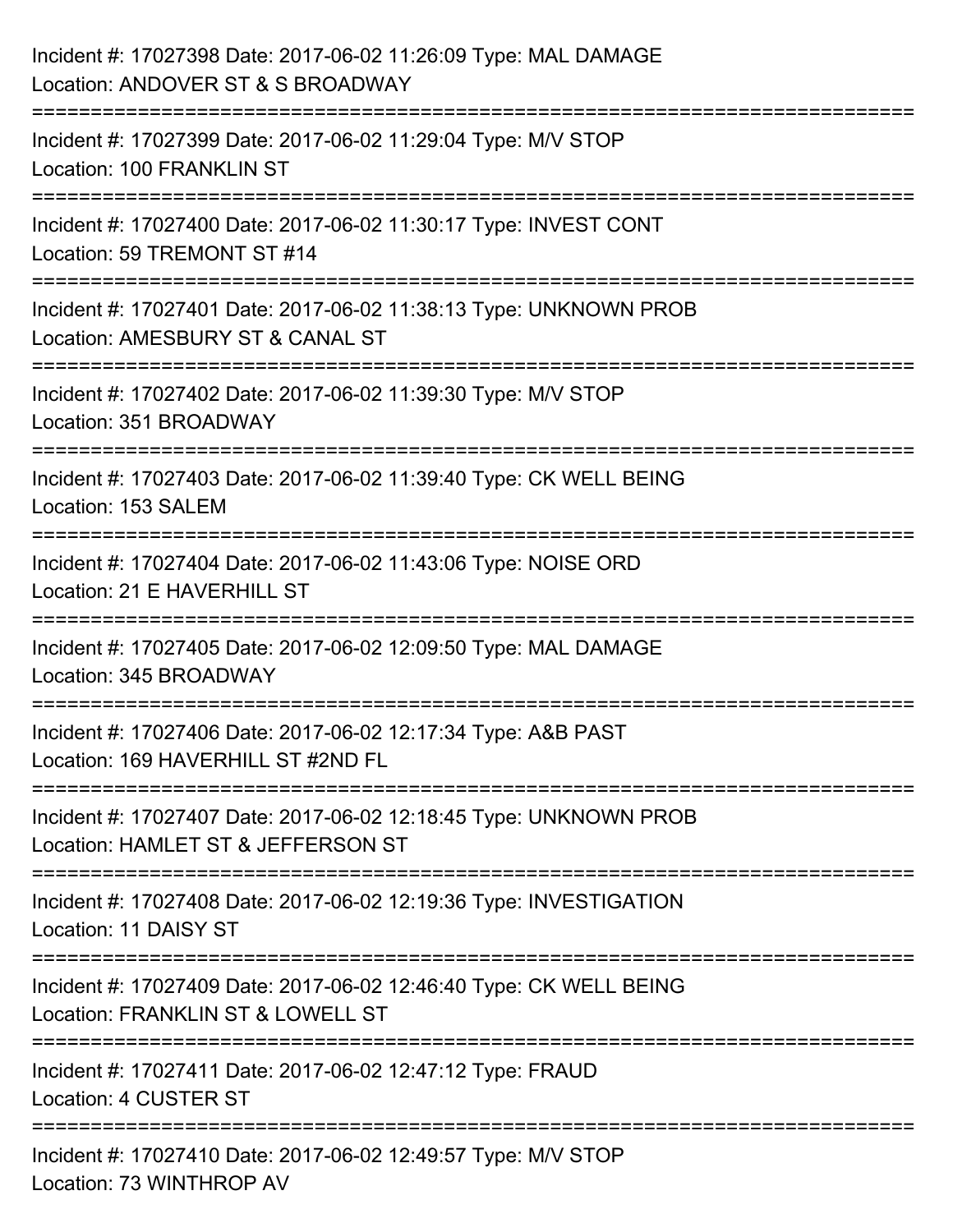| Incident #: 17027398 Date: 2017-06-02 11:26:09 Type: MAL DAMAGE<br>Location: ANDOVER ST & S BROADWAY                      |
|---------------------------------------------------------------------------------------------------------------------------|
| ;======================<br>Incident #: 17027399 Date: 2017-06-02 11:29:04 Type: M/V STOP<br>Location: 100 FRANKLIN ST     |
| Incident #: 17027400 Date: 2017-06-02 11:30:17 Type: INVEST CONT<br>Location: 59 TREMONT ST #14                           |
| Incident #: 17027401 Date: 2017-06-02 11:38:13 Type: UNKNOWN PROB<br>Location: AMESBURY ST & CANAL ST                     |
| Incident #: 17027402 Date: 2017-06-02 11:39:30 Type: M/V STOP<br>Location: 351 BROADWAY<br>============================== |
| Incident #: 17027403 Date: 2017-06-02 11:39:40 Type: CK WELL BEING<br>Location: 153 SALEM                                 |
| Incident #: 17027404 Date: 2017-06-02 11:43:06 Type: NOISE ORD<br>Location: 21 E HAVERHILL ST                             |
| Incident #: 17027405 Date: 2017-06-02 12:09:50 Type: MAL DAMAGE<br>Location: 345 BROADWAY                                 |
| Incident #: 17027406 Date: 2017-06-02 12:17:34 Type: A&B PAST<br>Location: 169 HAVERHILL ST #2ND FL                       |
| Incident #: 17027407 Date: 2017-06-02 12:18:45 Type: UNKNOWN PROB<br>Location: HAMLET ST & JEFFERSON ST                   |
| Incident #: 17027408 Date: 2017-06-02 12:19:36 Type: INVESTIGATION<br>Location: 11 DAISY ST                               |
| Incident #: 17027409 Date: 2017-06-02 12:46:40 Type: CK WELL BEING<br>Location: FRANKLIN ST & LOWELL ST                   |
| Incident #: 17027411 Date: 2017-06-02 12:47:12 Type: FRAUD<br>Location: 4 CUSTER ST                                       |
| Incident #: 17027410 Date: 2017-06-02 12:49:57 Type: M/V STOP<br>Location: 73 WINTHROP AV                                 |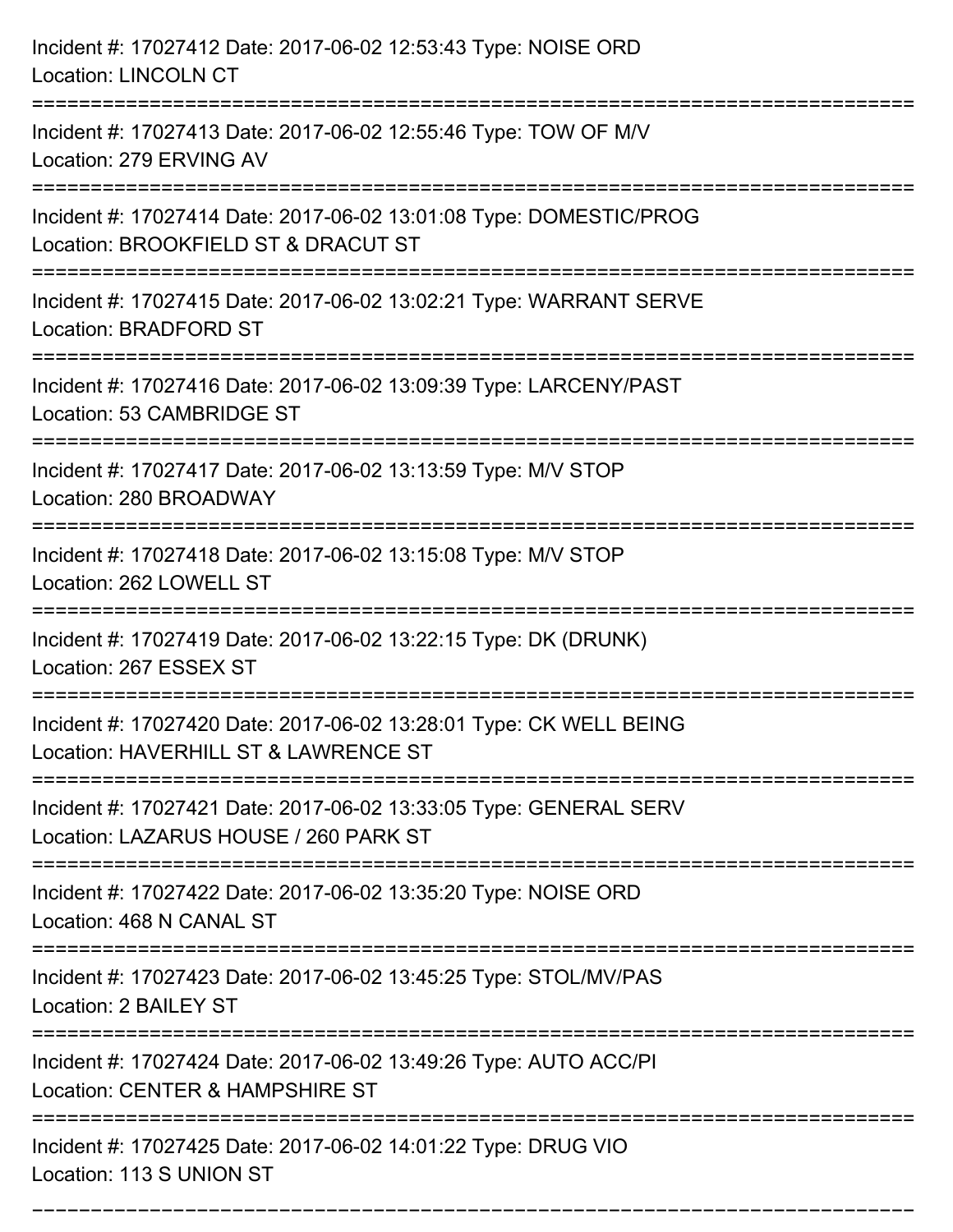| Incident #: 17027412 Date: 2017-06-02 12:53:43 Type: NOISE ORD<br><b>Location: LINCOLN CT</b>                                             |
|-------------------------------------------------------------------------------------------------------------------------------------------|
| Incident #: 17027413 Date: 2017-06-02 12:55:46 Type: TOW OF M/V<br>Location: 279 ERVING AV                                                |
| Incident #: 17027414 Date: 2017-06-02 13:01:08 Type: DOMESTIC/PROG<br>Location: BROOKFIELD ST & DRACUT ST                                 |
| Incident #: 17027415 Date: 2017-06-02 13:02:21 Type: WARRANT SERVE<br>Location: BRADFORD ST<br>=================<br>===================== |
| Incident #: 17027416 Date: 2017-06-02 13:09:39 Type: LARCENY/PAST<br>Location: 53 CAMBRIDGE ST                                            |
| Incident #: 17027417 Date: 2017-06-02 13:13:59 Type: M/V STOP<br>Location: 280 BROADWAY<br>:==================================            |
| Incident #: 17027418 Date: 2017-06-02 13:15:08 Type: M/V STOP<br>Location: 262 LOWELL ST                                                  |
| Incident #: 17027419 Date: 2017-06-02 13:22:15 Type: DK (DRUNK)<br>Location: 267 ESSEX ST                                                 |
| Incident #: 17027420 Date: 2017-06-02 13:28:01 Type: CK WELL BEING<br>Location: HAVERHILL ST & LAWRENCE ST                                |
| Incident #: 17027421 Date: 2017-06-02 13:33:05 Type: GENERAL SERV<br>Location: LAZARUS HOUSE / 260 PARK ST                                |
| Incident #: 17027422 Date: 2017-06-02 13:35:20 Type: NOISE ORD<br>Location: 468 N CANAL ST                                                |
| Incident #: 17027423 Date: 2017-06-02 13:45:25 Type: STOL/MV/PAS<br>Location: 2 BAILEY ST                                                 |
| Incident #: 17027424 Date: 2017-06-02 13:49:26 Type: AUTO ACC/PI<br>Location: CENTER & HAMPSHIRE ST                                       |
| Incident #: 17027425 Date: 2017-06-02 14:01:22 Type: DRUG VIO<br>Location: 113 S UNION ST                                                 |

===========================================================================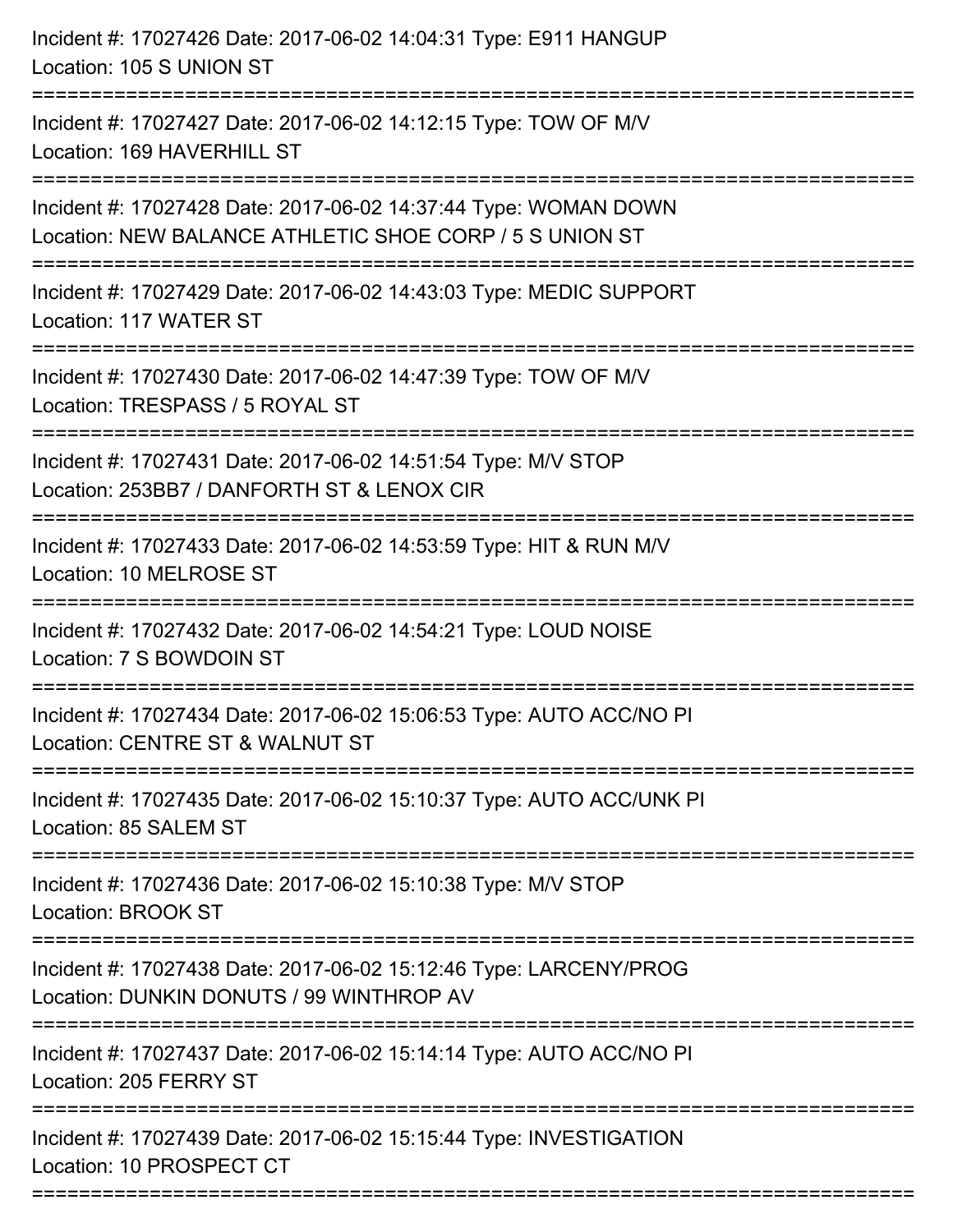| Incident #: 17027426 Date: 2017-06-02 14:04:31 Type: E911 HANGUP<br>Location: 105 S UNION ST                                       |
|------------------------------------------------------------------------------------------------------------------------------------|
| Incident #: 17027427 Date: 2017-06-02 14:12:15 Type: TOW OF M/V<br>Location: 169 HAVERHILL ST                                      |
| Incident #: 17027428 Date: 2017-06-02 14:37:44 Type: WOMAN DOWN<br>Location: NEW BALANCE ATHLETIC SHOE CORP / 5 S UNION ST         |
| Incident #: 17027429 Date: 2017-06-02 14:43:03 Type: MEDIC SUPPORT<br>Location: 117 WATER ST                                       |
| Incident #: 17027430 Date: 2017-06-02 14:47:39 Type: TOW OF M/V<br>Location: TRESPASS / 5 ROYAL ST<br>---------------------------- |
| Incident #: 17027431 Date: 2017-06-02 14:51:54 Type: M/V STOP<br>Location: 253BB7 / DANFORTH ST & LENOX CIR                        |
| Incident #: 17027433 Date: 2017-06-02 14:53:59 Type: HIT & RUN M/V<br>Location: 10 MELROSE ST                                      |
| Incident #: 17027432 Date: 2017-06-02 14:54:21 Type: LOUD NOISE<br>Location: 7 S BOWDOIN ST                                        |
| Incident #: 17027434 Date: 2017-06-02 15:06:53 Type: AUTO ACC/NO PI<br>Location: CENTRE ST & WALNUT ST                             |
| Incident #: 17027435 Date: 2017-06-02 15:10:37 Type: AUTO ACC/UNK PI<br>Location: 85 SALEM ST                                      |
| :===============================<br>Incident #: 17027436 Date: 2017-06-02 15:10:38 Type: M/V STOP<br>Location: BROOK ST            |
| Incident #: 17027438 Date: 2017-06-02 15:12:46 Type: LARCENY/PROG<br>Location: DUNKIN DONUTS / 99 WINTHROP AV                      |
| Incident #: 17027437 Date: 2017-06-02 15:14:14 Type: AUTO ACC/NO PI<br>Location: 205 FERRY ST                                      |
| Incident #: 17027439 Date: 2017-06-02 15:15:44 Type: INVESTIGATION<br>Location: 10 PROSPECT CT                                     |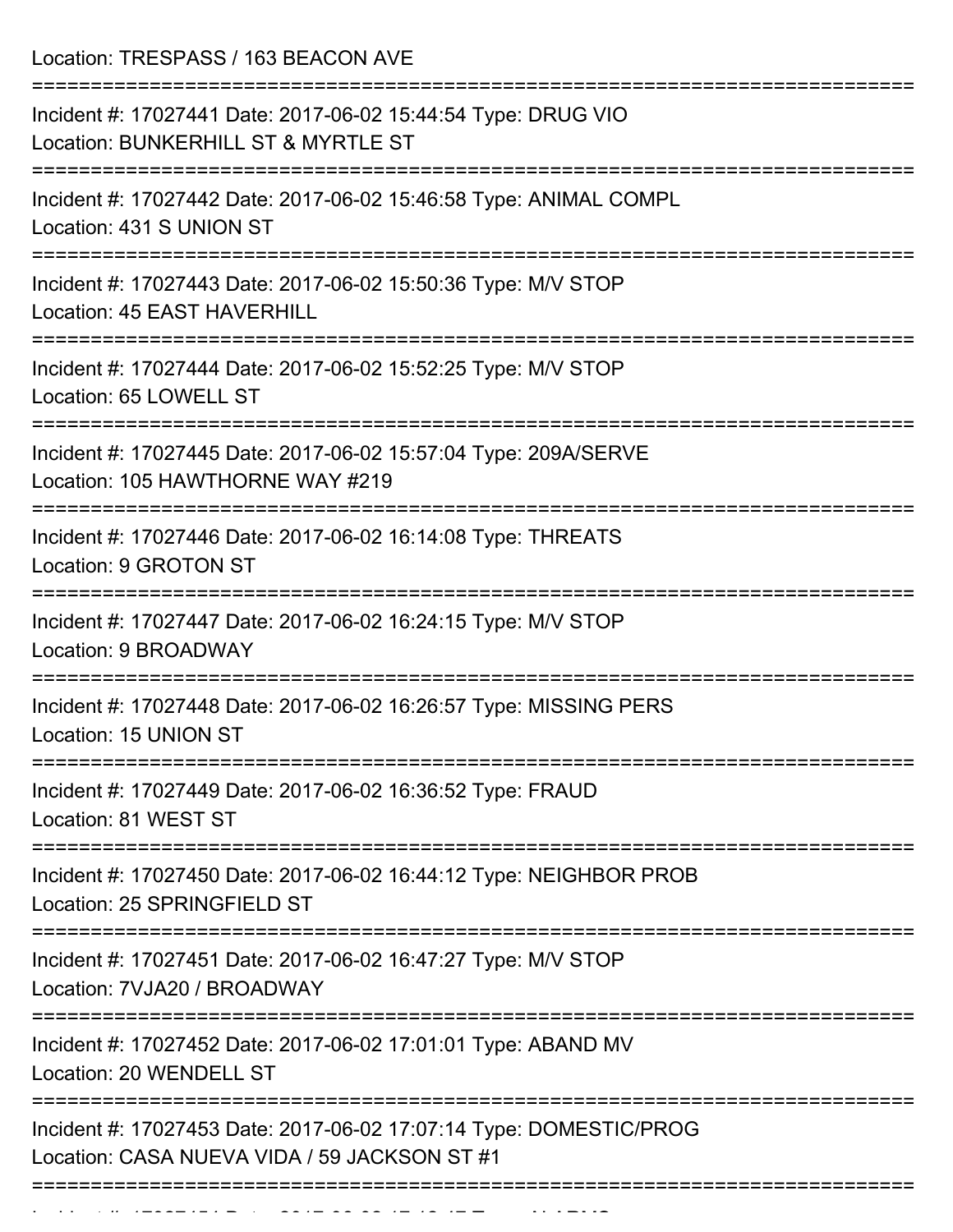Location: TRESPASS / 163 BEACON AVE

| Incident #: 17027441 Date: 2017-06-02 15:44:54 Type: DRUG VIO<br>Location: BUNKERHILL ST & MYRTLE ST                     |
|--------------------------------------------------------------------------------------------------------------------------|
| Incident #: 17027442 Date: 2017-06-02 15:46:58 Type: ANIMAL COMPL<br>Location: 431 S UNION ST                            |
| Incident #: 17027443 Date: 2017-06-02 15:50:36 Type: M/V STOP<br>Location: 45 EAST HAVERHILL                             |
| Incident #: 17027444 Date: 2017-06-02 15:52:25 Type: M/V STOP<br>Location: 65 LOWELL ST                                  |
| Incident #: 17027445 Date: 2017-06-02 15:57:04 Type: 209A/SERVE<br>Location: 105 HAWTHORNE WAY #219                      |
| Incident #: 17027446 Date: 2017-06-02 16:14:08 Type: THREATS<br>Location: 9 GROTON ST                                    |
| ========================<br>Incident #: 17027447 Date: 2017-06-02 16:24:15 Type: M/V STOP<br>Location: 9 BROADWAY        |
| Incident #: 17027448 Date: 2017-06-02 16:26:57 Type: MISSING PERS<br>Location: 15 UNION ST                               |
| Incident #: 17027449 Date: 2017-06-02 16:36:52 Type: FRAUD<br>Location: 81 WEST ST                                       |
| ===================<br>Incident #: 17027450 Date: 2017-06-02 16:44:12 Type: NEIGHBOR PROB<br>Location: 25 SPRINGFIELD ST |
| Incident #: 17027451 Date: 2017-06-02 16:47:27 Type: M/V STOP<br>Location: 7VJA20 / BROADWAY                             |
| Incident #: 17027452 Date: 2017-06-02 17:01:01 Type: ABAND MV<br>Location: 20 WENDELL ST                                 |
| Incident #: 17027453 Date: 2017-06-02 17:07:14 Type: DOMESTIC/PROG<br>Location: CASA NUEVA VIDA / 59 JACKSON ST #1       |
| -----------------------------------                                                                                      |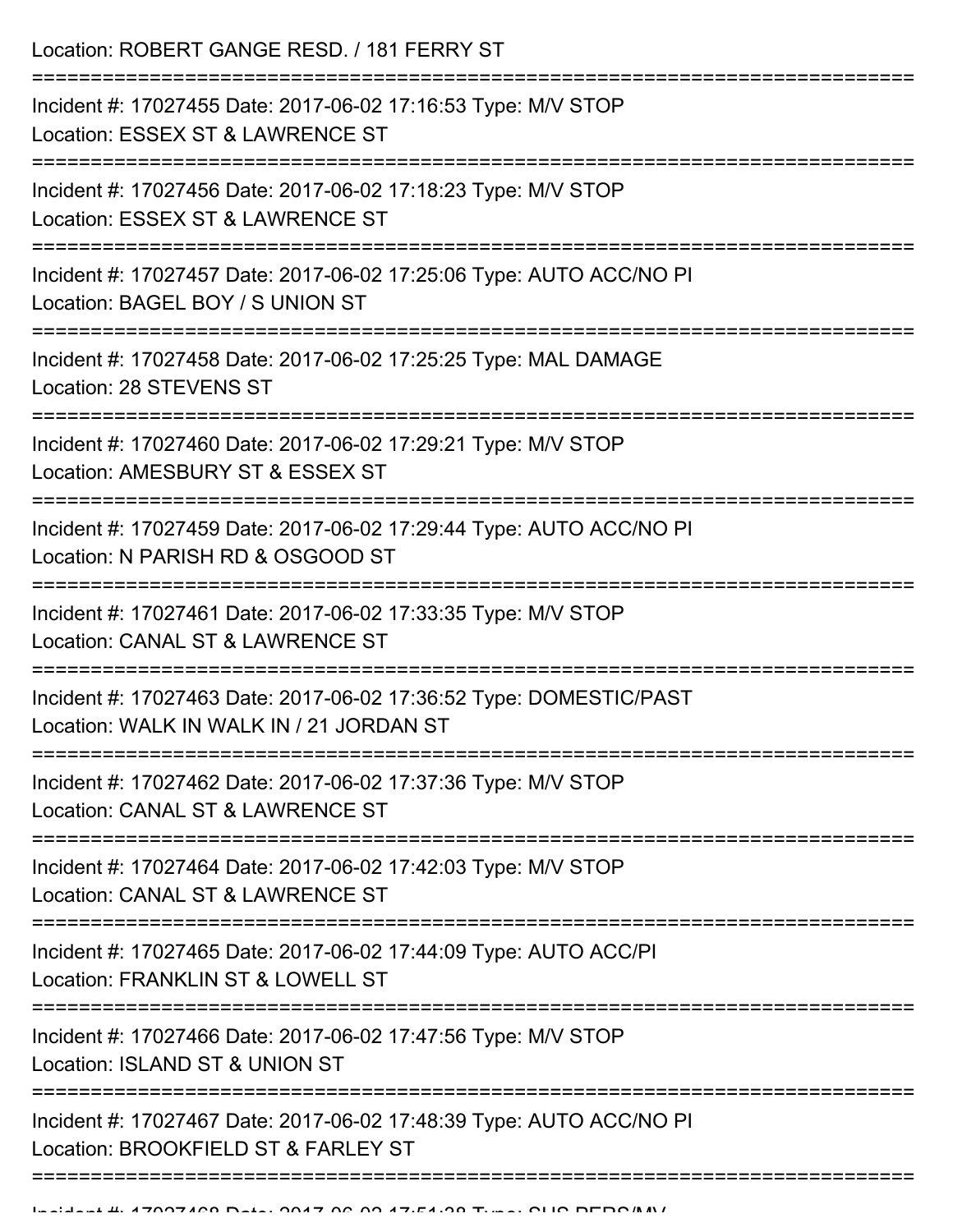Location: ROBERT GANGE RESD. / 181 FERRY ST

| Incident #: 17027455 Date: 2017-06-02 17:16:53 Type: M/V STOP<br>Location: ESSEX ST & LAWRENCE ST                                        |
|------------------------------------------------------------------------------------------------------------------------------------------|
| Incident #: 17027456 Date: 2017-06-02 17:18:23 Type: M/V STOP<br>Location: ESSEX ST & LAWRENCE ST                                        |
| Incident #: 17027457 Date: 2017-06-02 17:25:06 Type: AUTO ACC/NO PI<br>Location: BAGEL BOY / S UNION ST                                  |
| Incident #: 17027458 Date: 2017-06-02 17:25:25 Type: MAL DAMAGE<br>Location: 28 STEVENS ST<br>-----------------                          |
| Incident #: 17027460 Date: 2017-06-02 17:29:21 Type: M/V STOP<br>Location: AMESBURY ST & ESSEX ST                                        |
| Incident #: 17027459 Date: 2017-06-02 17:29:44 Type: AUTO ACC/NO PI<br>Location: N PARISH RD & OSGOOD ST                                 |
| Incident #: 17027461 Date: 2017-06-02 17:33:35 Type: M/V STOP<br>Location: CANAL ST & LAWRENCE ST                                        |
| Incident #: 17027463 Date: 2017-06-02 17:36:52 Type: DOMESTIC/PAST<br>Location: WALK IN WALK IN / 21 JORDAN ST<br>:===================== |
| Incident #: 17027462 Date: 2017-06-02 17:37:36 Type: M/V STOP<br>Location: CANAL ST & LAWRENCE ST                                        |
| Incident #: 17027464 Date: 2017-06-02 17:42:03 Type: M/V STOP<br>Location: CANAL ST & LAWRENCE ST                                        |
| Incident #: 17027465 Date: 2017-06-02 17:44:09 Type: AUTO ACC/PI<br>Location: FRANKLIN ST & LOWELL ST                                    |
| Incident #: 17027466 Date: 2017-06-02 17:47:56 Type: M/V STOP<br>Location: ISLAND ST & UNION ST                                          |
| Incident #: 17027467 Date: 2017-06-02 17:48:39 Type: AUTO ACC/NO PI<br>Location: BROOKFIELD ST & FARLEY ST                               |
|                                                                                                                                          |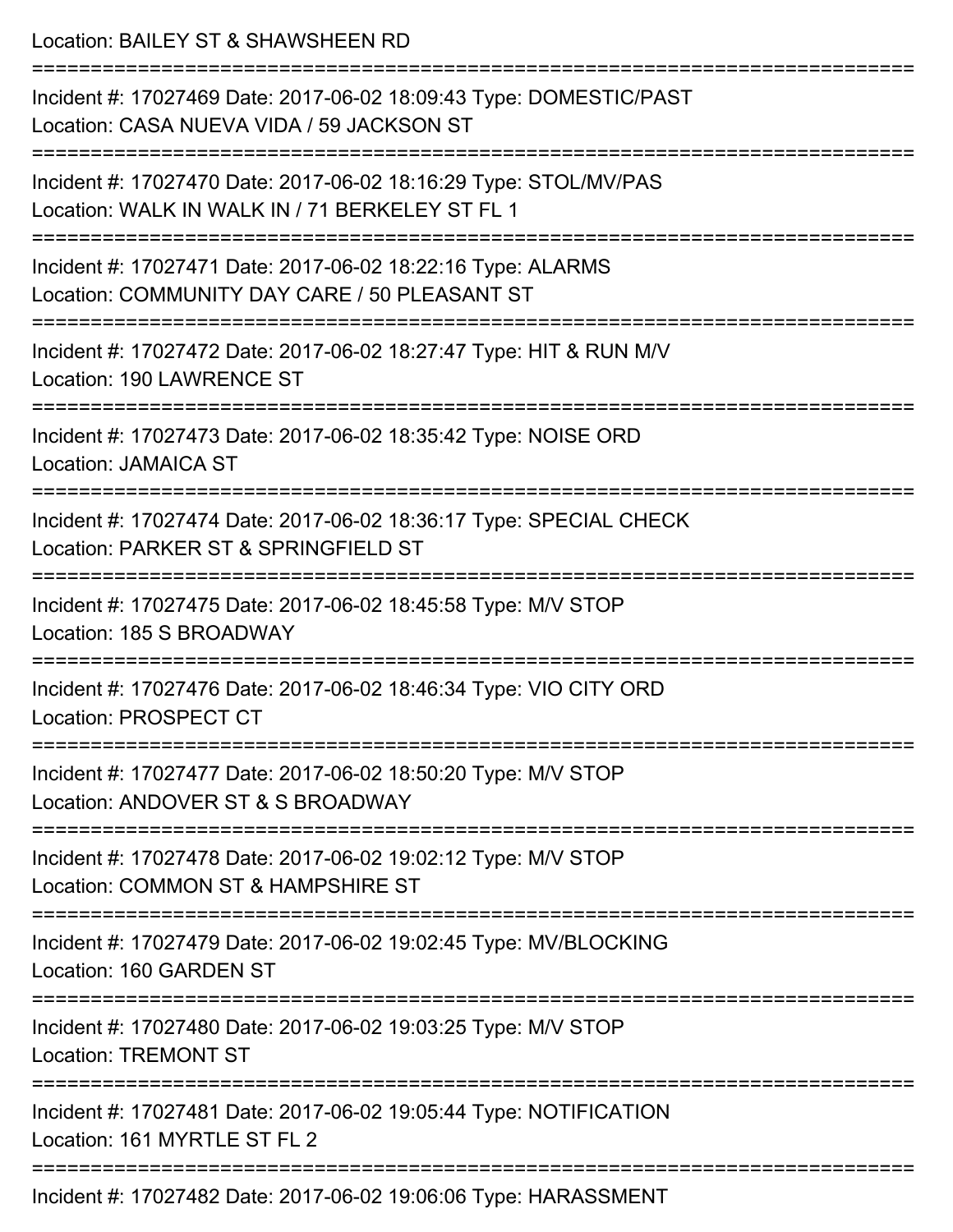| Location: BAILEY ST & SHAWSHEEN RD                                                                                                            |
|-----------------------------------------------------------------------------------------------------------------------------------------------|
| Incident #: 17027469 Date: 2017-06-02 18:09:43 Type: DOMESTIC/PAST<br>Location: CASA NUEVA VIDA / 59 JACKSON ST                               |
| Incident #: 17027470 Date: 2017-06-02 18:16:29 Type: STOL/MV/PAS<br>Location: WALK IN WALK IN / 71 BERKELEY ST FL 1<br>====================== |
| Incident #: 17027471 Date: 2017-06-02 18:22:16 Type: ALARMS<br>Location: COMMUNITY DAY CARE / 50 PLEASANT ST                                  |
| Incident #: 17027472 Date: 2017-06-02 18:27:47 Type: HIT & RUN M/V<br>Location: 190 LAWRENCE ST                                               |
| Incident #: 17027473 Date: 2017-06-02 18:35:42 Type: NOISE ORD<br><b>Location: JAMAICA ST</b>                                                 |
| Incident #: 17027474 Date: 2017-06-02 18:36:17 Type: SPECIAL CHECK<br>Location: PARKER ST & SPRINGFIELD ST                                    |
| Incident #: 17027475 Date: 2017-06-02 18:45:58 Type: M/V STOP<br>Location: 185 S BROADWAY                                                     |
| Incident #: 17027476 Date: 2017-06-02 18:46:34 Type: VIO CITY ORD<br>Location: PROSPECT CT                                                    |
| Incident #: 17027477 Date: 2017-06-02 18:50:20 Type: M/V STOP<br>Location: ANDOVER ST & S BROADWAY                                            |
| Incident #: 17027478 Date: 2017-06-02 19:02:12 Type: M/V STOP<br>Location: COMMON ST & HAMPSHIRE ST                                           |
| Incident #: 17027479 Date: 2017-06-02 19:02:45 Type: MV/BLOCKING<br>Location: 160 GARDEN ST                                                   |
| Incident #: 17027480 Date: 2017-06-02 19:03:25 Type: M/V STOP<br><b>Location: TREMONT ST</b>                                                  |
| Incident #: 17027481 Date: 2017-06-02 19:05:44 Type: NOTIFICATION<br>Location: 161 MYRTLE ST FL 2                                             |
| $17027102$ Detai 2017 06:02 10:06:06 Tupe: UADACOMENIT                                                                                        |

Incident #: 17027482 Date: 2017-06-02 19:06:06 Type: HARASSMENT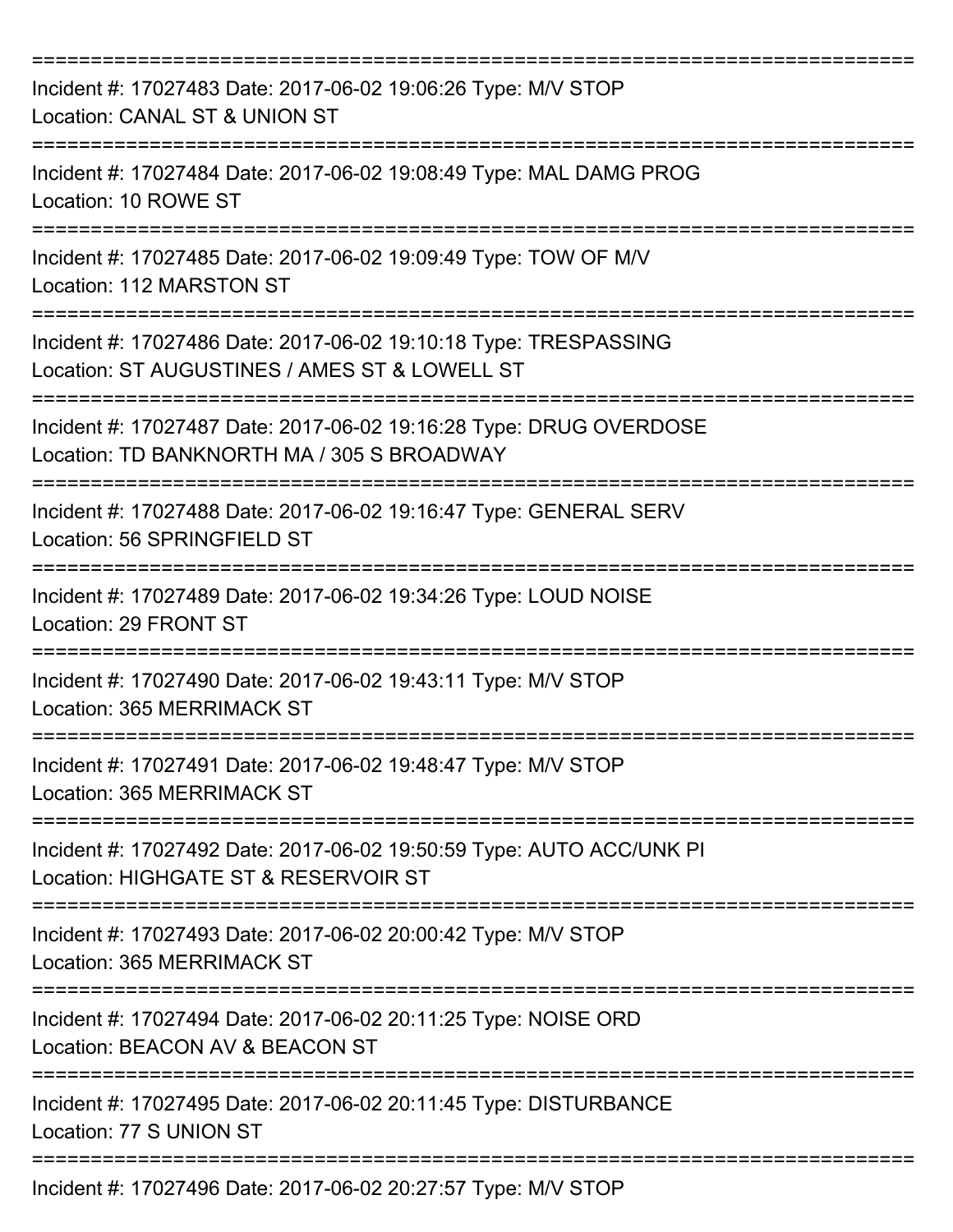| Incident #: 17027483 Date: 2017-06-02 19:06:26 Type: M/V STOP<br>Location: CANAL ST & UNION ST                                              |
|---------------------------------------------------------------------------------------------------------------------------------------------|
| Incident #: 17027484 Date: 2017-06-02 19:08:49 Type: MAL DAMG PROG<br>Location: 10 ROWE ST                                                  |
| Incident #: 17027485 Date: 2017-06-02 19:09:49 Type: TOW OF M/V<br>Location: 112 MARSTON ST                                                 |
| Incident #: 17027486 Date: 2017-06-02 19:10:18 Type: TRESPASSING<br>Location: ST AUGUSTINES / AMES ST & LOWELL ST                           |
| Incident #: 17027487 Date: 2017-06-02 19:16:28 Type: DRUG OVERDOSE<br>Location: TD BANKNORTH MA / 305 S BROADWAY<br>:====================== |
| Incident #: 17027488 Date: 2017-06-02 19:16:47 Type: GENERAL SERV<br>Location: 56 SPRINGFIELD ST                                            |
| Incident #: 17027489 Date: 2017-06-02 19:34:26 Type: LOUD NOISE<br>Location: 29 FRONT ST                                                    |
| Incident #: 17027490 Date: 2017-06-02 19:43:11 Type: M/V STOP<br>Location: 365 MERRIMACK ST                                                 |
| Incident #: 17027491 Date: 2017-06-02 19:48:47 Type: M/V STOP<br>Location: 365 MERRIMACK ST                                                 |
| Incident #: 17027492 Date: 2017-06-02 19:50:59 Type: AUTO ACC/UNK PI<br>Location: HIGHGATE ST & RESERVOIR ST                                |
| Incident #: 17027493 Date: 2017-06-02 20:00:42 Type: M/V STOP<br>Location: 365 MERRIMACK ST                                                 |
| Incident #: 17027494 Date: 2017-06-02 20:11:25 Type: NOISE ORD<br>Location: BEACON AV & BEACON ST                                           |
| Incident #: 17027495 Date: 2017-06-02 20:11:45 Type: DISTURBANCE<br>Location: 77 S UNION ST                                                 |
| Incident #: 17027496 Date: 2017-06-02 20:27:57 Type: M/V STOP                                                                               |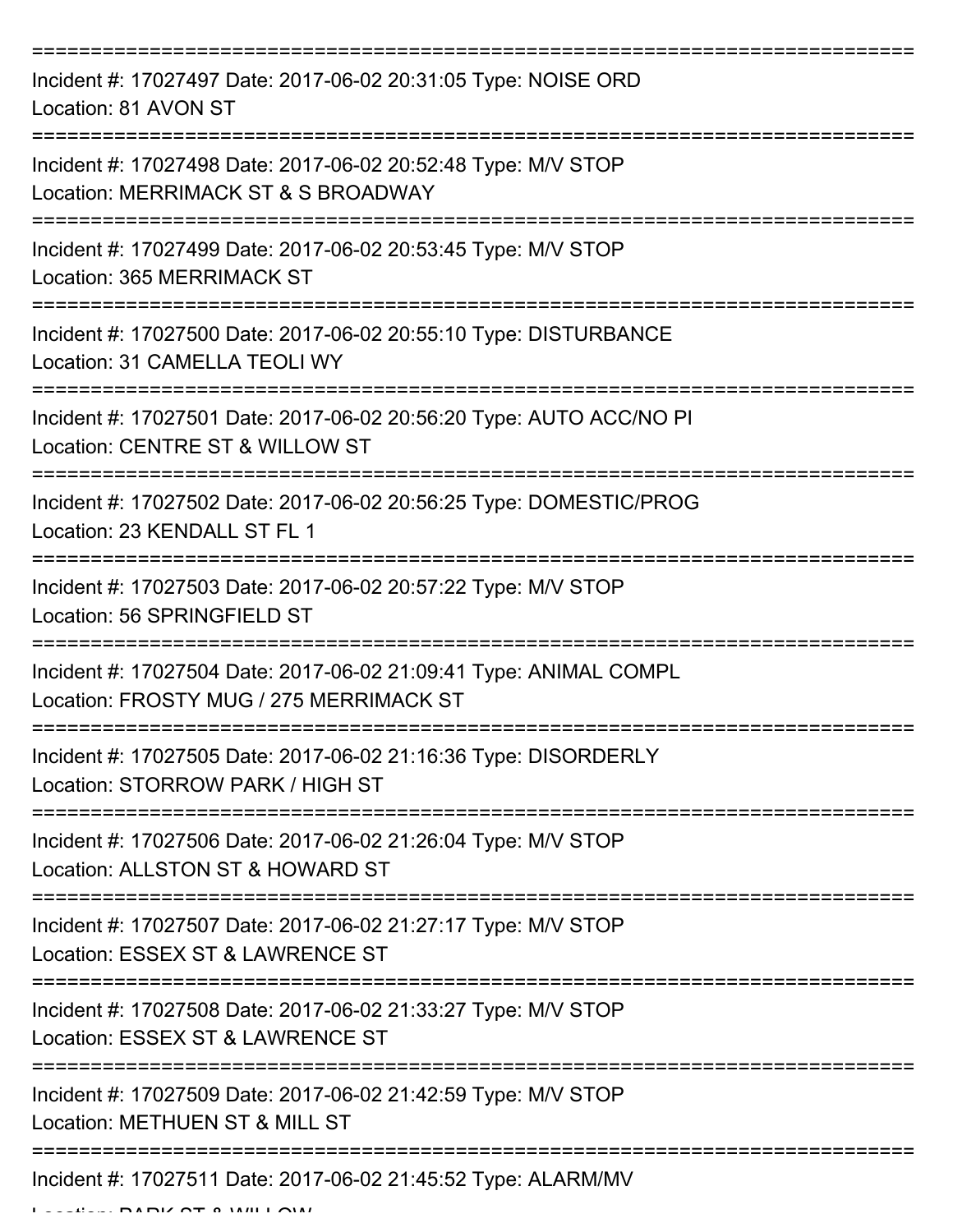| Incident #: 17027497 Date: 2017-06-02 20:31:05 Type: NOISE ORD<br>Location: 81 AVON ST                       |
|--------------------------------------------------------------------------------------------------------------|
| Incident #: 17027498 Date: 2017-06-02 20:52:48 Type: M/V STOP<br>Location: MERRIMACK ST & S BROADWAY         |
| Incident #: 17027499 Date: 2017-06-02 20:53:45 Type: M/V STOP<br>Location: 365 MERRIMACK ST                  |
| Incident #: 17027500 Date: 2017-06-02 20:55:10 Type: DISTURBANCE<br>Location: 31 CAMELLA TEOLI WY            |
| Incident #: 17027501 Date: 2017-06-02 20:56:20 Type: AUTO ACC/NO PI<br>Location: CENTRE ST & WILLOW ST       |
| Incident #: 17027502 Date: 2017-06-02 20:56:25 Type: DOMESTIC/PROG<br>Location: 23 KENDALL ST FL 1           |
| Incident #: 17027503 Date: 2017-06-02 20:57:22 Type: M/V STOP<br>Location: 56 SPRINGFIELD ST                 |
| Incident #: 17027504 Date: 2017-06-02 21:09:41 Type: ANIMAL COMPL<br>Location: FROSTY MUG / 275 MERRIMACK ST |
| Incident #: 17027505 Date: 2017-06-02 21:16:36 Type: DISORDERLY<br>Location: STORROW PARK / HIGH ST          |
| Incident #: 17027506 Date: 2017-06-02 21:26:04 Type: M/V STOP<br>Location: ALLSTON ST & HOWARD ST            |
| Incident #: 17027507 Date: 2017-06-02 21:27:17 Type: M/V STOP<br>Location: ESSEX ST & LAWRENCE ST            |
| Incident #: 17027508 Date: 2017-06-02 21:33:27 Type: M/V STOP<br>Location: ESSEX ST & LAWRENCE ST            |
| Incident #: 17027509 Date: 2017-06-02 21:42:59 Type: M/V STOP<br>Location: METHUEN ST & MILL ST              |
| Incident #: 17027511 Date: 2017-06-02 21:45:52 Type: ALARM/MV                                                |

 $L = L L L L$  PARK ST & WILLOW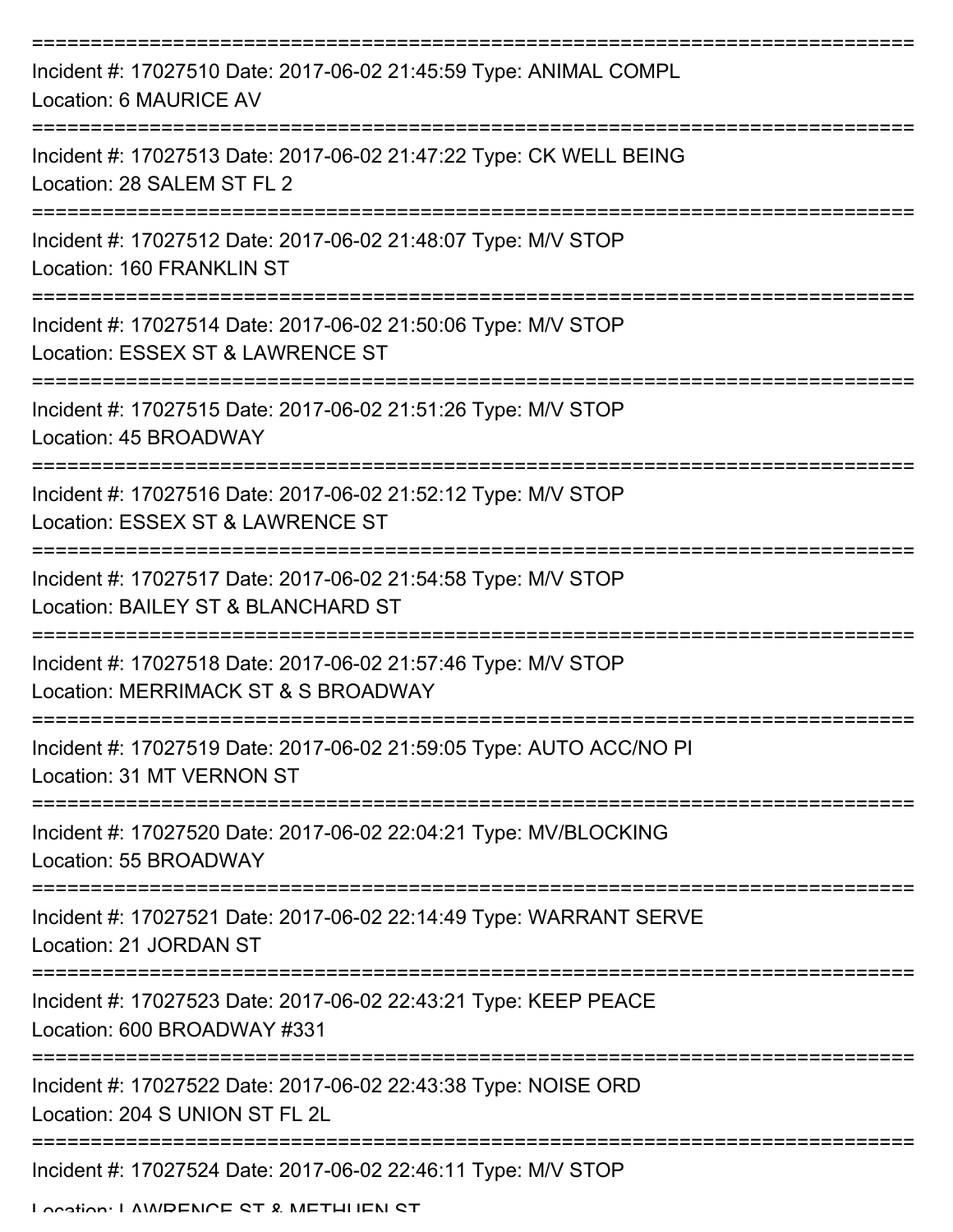| Incident #: 17027510 Date: 2017-06-02 21:45:59 Type: ANIMAL COMPL<br>Location: 6 MAURICE AV          |
|------------------------------------------------------------------------------------------------------|
| Incident #: 17027513 Date: 2017-06-02 21:47:22 Type: CK WELL BEING<br>Location: 28 SALEM ST FL 2     |
| Incident #: 17027512 Date: 2017-06-02 21:48:07 Type: M/V STOP<br>Location: 160 FRANKLIN ST           |
| Incident #: 17027514 Date: 2017-06-02 21:50:06 Type: M/V STOP<br>Location: ESSEX ST & LAWRENCE ST    |
| Incident #: 17027515 Date: 2017-06-02 21:51:26 Type: M/V STOP<br>Location: 45 BROADWAY               |
| Incident #: 17027516 Date: 2017-06-02 21:52:12 Type: M/V STOP<br>Location: ESSEX ST & LAWRENCE ST    |
| Incident #: 17027517 Date: 2017-06-02 21:54:58 Type: M/V STOP<br>Location: BAILEY ST & BLANCHARD ST  |
| Incident #: 17027518 Date: 2017-06-02 21:57:46 Type: M/V STOP<br>Location: MERRIMACK ST & S BROADWAY |
| Incident #: 17027519 Date: 2017-06-02 21:59:05 Type: AUTO ACC/NO PI<br>Location: 31 MT VERNON ST     |
| Incident #: 17027520 Date: 2017-06-02 22:04:21 Type: MV/BLOCKING<br>Location: 55 BROADWAY            |
| Incident #: 17027521 Date: 2017-06-02 22:14:49 Type: WARRANT SERVE<br>Location: 21 JORDAN ST         |
| Incident #: 17027523 Date: 2017-06-02 22:43:21 Type: KEEP PEACE<br>Location: 600 BROADWAY #331       |
| Incident #: 17027522 Date: 2017-06-02 22:43:38 Type: NOISE ORD<br>Location: 204 S UNION ST FL 2L     |
| Incident #: 17027524 Date: 2017-06-02 22:46:11 Type: M/V STOP                                        |

Location: LAWDENCE ST & METHLIEN ST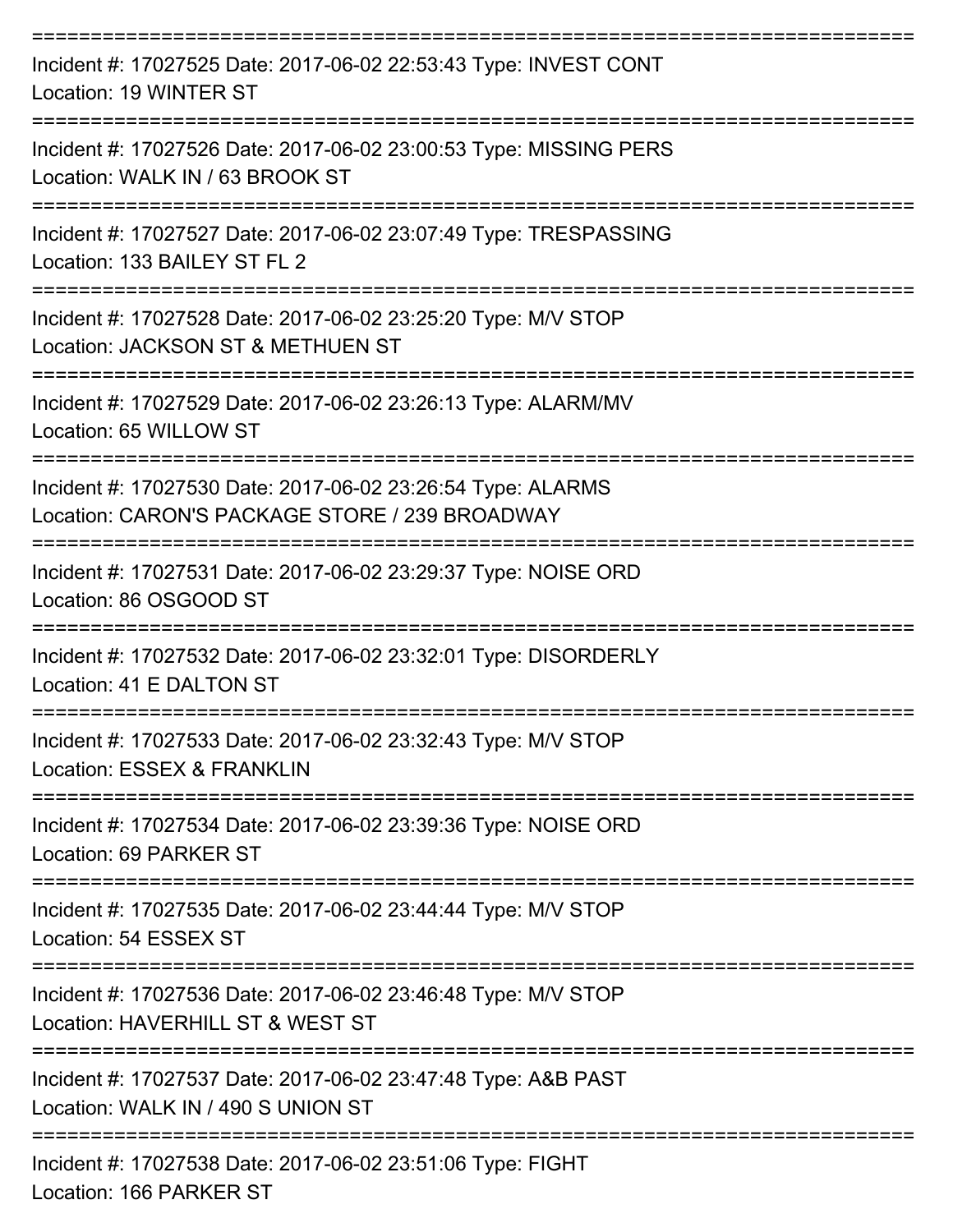| Incident #: 17027525 Date: 2017-06-02 22:53:43 Type: INVEST CONT<br>Location: 19 WINTER ST                    |
|---------------------------------------------------------------------------------------------------------------|
| Incident #: 17027526 Date: 2017-06-02 23:00:53 Type: MISSING PERS<br>Location: WALK IN / 63 BROOK ST          |
| Incident #: 17027527 Date: 2017-06-02 23:07:49 Type: TRESPASSING<br>Location: 133 BAILEY ST FL 2              |
| Incident #: 17027528 Date: 2017-06-02 23:25:20 Type: M/V STOP<br>Location: JACKSON ST & METHUEN ST            |
| Incident #: 17027529 Date: 2017-06-02 23:26:13 Type: ALARM/MV<br>Location: 65 WILLOW ST                       |
| Incident #: 17027530 Date: 2017-06-02 23:26:54 Type: ALARMS<br>Location: CARON'S PACKAGE STORE / 239 BROADWAY |
| Incident #: 17027531 Date: 2017-06-02 23:29:37 Type: NOISE ORD<br>Location: 86 OSGOOD ST                      |
| Incident #: 17027532 Date: 2017-06-02 23:32:01 Type: DISORDERLY<br>Location: 41 E DALTON ST                   |
| Incident #: 17027533 Date: 2017-06-02 23:32:43 Type: M/V STOP<br>Location: ESSEX & FRANKLIN                   |
| Incident #: 17027534 Date: 2017-06-02 23:39:36 Type: NOISE ORD<br>Location: 69 PARKER ST                      |
| Incident #: 17027535 Date: 2017-06-02 23:44:44 Type: M/V STOP<br>Location: 54 ESSEX ST                        |
| Incident #: 17027536 Date: 2017-06-02 23:46:48 Type: M/V STOP<br>Location: HAVERHILL ST & WEST ST             |
| Incident #: 17027537 Date: 2017-06-02 23:47:48 Type: A&B PAST<br>Location: WALK IN / 490 S UNION ST           |
| Incident #: 17027538 Date: 2017-06-02 23:51:06 Type: FIGHT<br>Location: 166 PARKER ST                         |